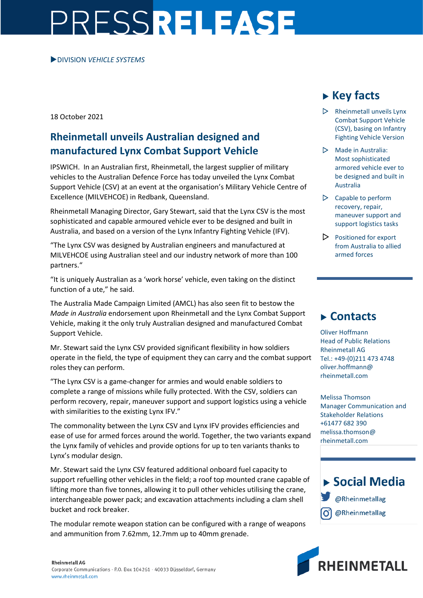# PRESSRELEASE

#### DIVISION *VEHICLE SYSTEMS*

18 October 2021

### **Rheinmetall unveils Australian designed and manufactured Lynx Combat Support Vehicle**

IPSWICH. In an Australian first, Rheinmetall, the largest supplier of military vehicles to the Australian Defence Force has today unveiled the Lynx Combat Support Vehicle (CSV) at an event at the organisation's Military Vehicle Centre of Excellence (MILVEHCOE) in Redbank, Queensland.

Rheinmetall Managing Director, Gary Stewart, said that the Lynx CSV is the most sophisticated and capable armoured vehicle ever to be designed and built in Australia, and based on a version of the Lynx Infantry Fighting Vehicle (IFV).

"The Lynx CSV was designed by Australian engineers and manufactured at MILVEHCOE using Australian steel and our industry network of more than 100 partners."

"It is uniquely Australian as a 'work horse' vehicle, even taking on the distinct function of a ute," he said.

The Australia Made Campaign Limited (AMCL) has also seen fit to bestow the *Made in Australia* endorsement upon Rheinmetall and the Lynx Combat Support Vehicle, making it the only truly Australian designed and manufactured Combat Support Vehicle.

Mr. Stewart said the Lynx CSV provided significant flexibility in how soldiers operate in the field, the type of equipment they can carry and the combat support roles they can perform.

"The Lynx CSV is a game-changer for armies and would enable soldiers to complete a range of missions while fully protected. With the CSV, soldiers can perform recovery, repair, maneuver support and support logistics using a vehicle with similarities to the existing Lynx IFV."

The commonality between the Lynx CSV and Lynx IFV provides efficiencies and ease of use for armed forces around the world. Together, the two variants expand the Lynx family of vehicles and provide options for up to ten variants thanks to Lynx's modular design.

Mr. Stewart said the Lynx CSV featured additional onboard fuel capacity to support refuelling other vehicles in the field; a roof top mounted crane capable of lifting more than five tonnes, allowing it to pull other vehicles utilising the crane, interchangeable power pack; and excavation attachments including a clam shell bucket and rock breaker.

The modular remote weapon station can be configured with a range of weapons and ammunition from 7.62mm, 12.7mm up to 40mm grenade.

# **Key facts**

- $\triangleright$  Rheinmetall unveils Lynx Combat Support Vehicle (CSV), basing on Infantry Fighting Vehicle Version
- $\triangleright$  Made in Australia: Most sophisticated armored vehicle ever to be designed and built in Australia
- $\triangleright$  Capable to perform recovery, repair, maneuver support and support logistics tasks
- $\triangleright$  Positioned for export from Australia to allied armed forces

## **Contacts**

Oliver Hoffmann Head of Public Relations Rheinmetall AG Tel.: +49-(0)211 473 4748 oliver.hoffmann@ rheinmetall.com

Melissa Thomson Manager Communication and Stakeholder Relations +61477 682 390 melissa.thomson@ rheinmetall.com